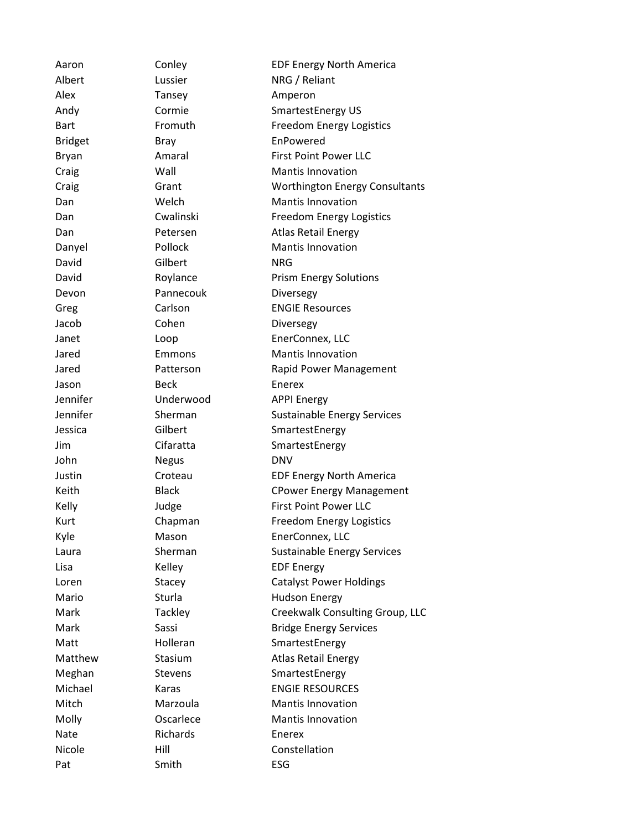Aaron Conley **EDF** Energy North America Albert Lussier NRG / Reliant Alex Tansey Amperon Andy Cormie SmartestEnergy US Bart Fromuth Freedom Energy Logistics Bridget Bray EnPowered Bryan Amaral First Point Power LLC Craig Wall Wall Mantis Innovation Craig Grant Worthington Energy Consultants Dan Welch Mantis Innovation Dan Cwalinski Freedom Energy Logistics Dan **Petersen Atlas Retail Energy** Danyel Pollock Mantis Innovation David Gilbert NRG David Roylance Prism Energy Solutions Devon Pannecouk Diversegy Greg Carlson **ENGIE Resources** Jacob Cohen Diversegy Janet Loop EnerConnex, LLC Jared Emmons Mantis Innovation Jared **Patterson Rapid Power Management** Jason Beck Enerex Jennifer Underwood APPI Energy Jennifer Sherman Sustainable Energy Services Jessica **Gilbert** SmartestEnergy Jim Cifaratta SmartestEnergy John Negus DNV Justin Croteau EDF Energy North America Keith Black Black CPower Energy Management Kelly **State Judge Communist Point Power LLC** Kurt Chapman Freedom Energy Logistics Kyle Mason EnerConnex, LLC Laura Sherman Sustainable Energy Services Lisa Kelley EDF Energy Loren Stacey Catalyst Power Holdings Mario Sturla Hudson Energy Mark Tackley Creekwalk Consulting Group, LLC Mark Sassi Sassi Bridge Energy Services Matt Holleran SmartestEnergy Matthew Stasium Atlas Retail Energy Meghan Stevens Stevens SmartestEnergy Michael Karas ENGIE RESOURCES Mitch Marzoula Mantis Innovation Molly **Molly** Oscarlece **Mantis Innovation** Nate Richards Enerex Nicole **Hill** Hill Constellation Pat Smith ESG